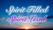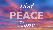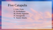## Five Catapults

I. Life's Trials II. Disobedience III. Fleshly Appetites IV. Strongholds V. Satanic Attacks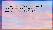"Stay alert! Watch out for your great enemy, the devil. He prowls around like a roaring lion, looking for someone to devour." 1 Peter 5:8 (NLT)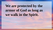# We are protected by the **armor of God as long as we walk in the Spirit.**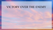## VICTORY OVER THE ENEMY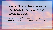I. God's Children have Power and Authority Over Sickness and Demonic Powers

The greater our faith and obedience the greater Kingdom power and authority is entrusted to us.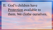# II. God's children have Protection available to them. We clothe ourselves.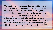"Put on all of God's armor so that you will be able to stand firm against all strategies of the devil. For we are not fighting against flesh-and-blood enemies, but against evil rulers and authorities of the unseen world, against mighty powers in this dark world, and against evil spirits in the heavenly places. Therefore, put on every piece of God's armor so you will be able to resist the enemy in the time of evil. Then after the battle you will still be standing firm. Ephesians 6:11-18 (NLT)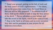<sup>14</sup> Stand your ground, putting on the belt of truth and the body armor of God's righteousness  $15$  For shoes, put on the peace that comes from the Good News so that you will be fully prepared.  $16$  In addition to all of these, hold up the shield of faith to stop the fiery arrows of the devil. <sup>17</sup> Put on salvation as your helmet, and take the sword of the Spirit, which is the word of God. <sup>18</sup> Pray in the Spirit at all times and on every occasion. Stay alert and be persistent in your prayers for all believers everywhere.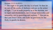#### Romans 13:12-14 (ESV)

 $12$  The night is far gone; the day is at hand. So then let us cast off the works of darkness and put on the armor of light. <sup>13</sup> Let us walk properly as in the daytime, not in orgies and drunkenness, not in sexual immorality and sensuality, not in quarreling and jealousy.<sup>14</sup> But put on the Lord Jesus Christ, and make no provision for the flesh, to gratify its desires.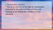#### 1 Thessalonians 5:8 (NLT)

<sup>8</sup> But let us who live in the light be clearheaded, protected by the armor of faith and love, and wearing as our helmet the confidence of our salvation.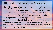# III. God's Children have Marvelous, Mighty Weapons at Their Disposal.

"For though we walk in the flesh, we do not war according to the flesh. For the weapons of our warfare *are* not carnal but mighty in God for pulling down strongholds, casting down arguments and every high thing that exalts itself against the knowledge of God, bringing every thought into captivity to the obedience of Christ, and being ready to punish all disobedience when your obedience is fulfilled. 2 Corinthians 10:3-6 (NKJV)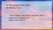### A. The Sword of the Spirit – the Word of God.

"I have hidden your word in my heart, that I might not sin against you." Psalm 119:11 (NLT)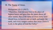### B. The Name of Jesus.

#### Philippians 2:9-11 (NLT)

"Therefore, God elevated him to the place of highest honor and gave him the name above all other names, that at the name of Jesus every knee should bow, in heaven and on earth and under the earth, and every tongue confess that Jesus Christ is Lord, to the glory of God the Father."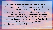Then I heard a loud voice shouting across the heavens, "It has come at last— salvation and power and the Kingdom of our God, and the authority of his Christ. For the accuser of our brothers and sisters has been thrown down to earth— the one who accuses them before our God day and night. And they have defeated him by the blood of the Lamb and by their testimony. And they did not love their lives so much that they were afraid to die. Revelation 12:10-11 (NLT)